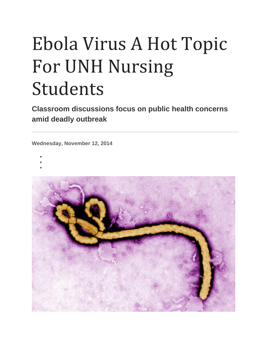# Ebola Virus A Hot Topic For UNH Nursing Students

**Classroom discussions focus on public health concerns amid deadly outbreak**

**Wednesday, November 12, 2014**

- •
- •
- •

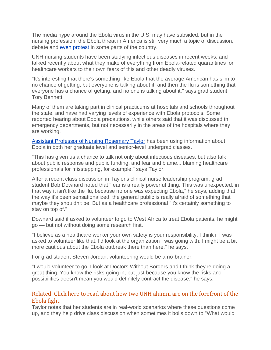The media hype around the Ebola virus in the U.S. may have subsided, but in the nursing profession, the Ebola threat in America is still very much a topic of discussion, debate and [even protest](http://www.foxnews.com/health/2014/11/12/us-nurses-to-protest-strike-over-ebola-measures/) in some parts of the country.

UNH nursing students have been studying infectious diseases in recent weeks, and talked recently about what they make of everything from Ebola-related quarantines for healthcare workers to their own fears of this and other deadly viruses.

"It's interesting that there's something like Ebola that the average American has slim to no chance of getting, but everyone is talking about it, and then the flu is something that everyone has a chance of getting, and no one is talking about it," says grad student Tory Bennett.

Many of them are taking part in clinical practicums at hospitals and schools throughout the state, and have had varying levels of experience with Ebola protocols. Some reported hearing about Ebola precautions, while others said that it was discussed in emergency departments, but not necessarily in the areas of the hospitals where they are working.

[Assistant Professor of Nursing Rosemary Taylor](http://chhs.unh.edu/faculty-member/rosemary-taylor) has been using information about Ebola in both her graduate level and senior-level undergrad classes.

"This has given us a chance to talk not only about infectious diseases, but also talk about public response and public funding, and fear and blame... blaming healthcare professionals for misstepping, for example," says Taylor.

After a recent class discussion in Taylor's clinical nurse leadership program, grad student Bob Downard noted that "fear is a really powerful thing. This was unexpected, in that way it isn't like the flu, because no one was expecting Ebola," he says, adding that the way it's been sensationalized, the general public is really afraid of something that maybe they shouldn't be. But as a healthcare professional "it's certainly something to stay on top of."

Downard said if asked to volunteer to go to West Africa to treat Ebola patients, he might go — but not without doing some research first.

"I believe as a healthcare worker your own safety is your responsibility. I think if I was asked to volunteer like that, I'd look at the organization I was going with; I might be a bit more cautious about the Ebola outbreak there than here," he says.

For grad student Steven Jordan, volunteering would be a no-brainer.

"I would volunteer to go. I look at Doctors Without Borders and I think they're doing a great thing. You know the risks going in, but just because you know the risks and possibilities doesn't mean you would definitely contract the disease," he says.

## [Related: Click here to read about how two UNH alumni are on the forefront of the](http://unh.edu/unhtoday/2014/11/frontlines-ebola)  [Ebola fight.](http://unh.edu/unhtoday/2014/11/frontlines-ebola)

Taylor notes that her students are in real-world scenarios where these questions come up, and they help drive class discussion when sometimes it boils down to "What would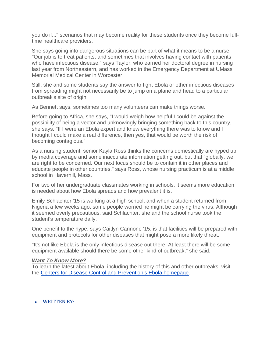you do if..." scenarios that may become reality for these students once they become fulltime healthcare providers.

She says going into dangerous situations can be part of what it means to be a nurse. "Our job is to treat patients, and sometimes that involves having contact with patients who have infectious disease," says Taylor, who earned her doctoral degree in nursing last year from Northeastern, and has worked in the Emergency Department at UMass Memorial Medical Center in Worcester.

Still, she and some students say the answer to fight Ebola or other infectious diseases from spreading might not necessarily be to jump on a plane and head to a particular outbreak's site of origin.

As Bennett says, sometimes too many volunteers can make things worse.

Before going to Africa, she says, "I would weigh how helpful I could be against the possibility of being a vector and unknowingly bringing something back to this country," she says. "If I were an Ebola expert and knew everything there was to know and I thought I could make a real difference, then yes, that would be worth the risk of becoming contagious."

As a nursing student, senior Kayla Ross thinks the concerns domestically are hyped up by media coverage and some inaccurate information getting out, but that "globally, we are right to be concerned. Our next focus should be to contain it in other places and educate people in other countries," says Ross, whose nursing practicum is at a middle school in Haverhill, Mass.

For two of her undergraduate classmates working in schools, it seems more education is needed about how Ebola spreads and how prevalent it is.

Emily Schlachter '15 is working at a high school, and when a student returned from Nigeria a few weeks ago, some people worried he might be carrying the virus. Although it seemed overly precautious, said Schlachter, she and the school nurse took the student's temperature daily.

One benefit to the hype, says Caitlyn Cannone '15, is that facilities will be prepared with equipment and protocols for other diseases that might pose a more likely threat.

"It's not like Ebola is the only infectious disease out there. At least there will be some equipment available should there be some other kind of outbreak," she said.

#### *Want To Know More?*

To learn the latest about Ebola, including the history of this and other outbreaks, visit the [Centers for Disease Control and Prevention's Ebola homepage.](http://www.cdc.gov/vhf/Ebola/index.html)

### • WRITTEN BY: